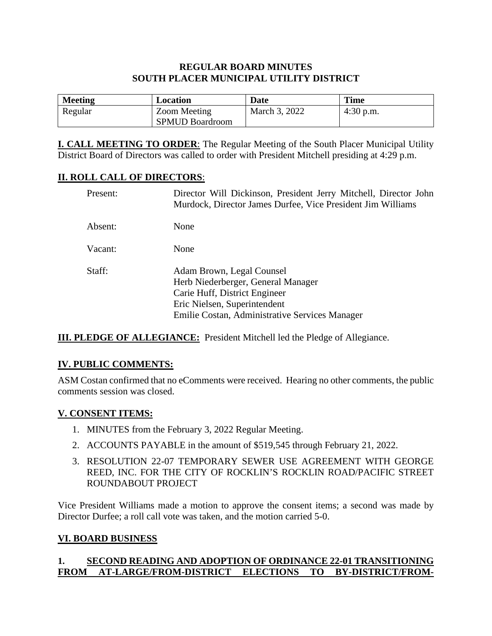### **REGULAR BOARD MINUTES SOUTH PLACER MUNICIPAL UTILITY DISTRICT**

| <b>Meeting</b> | Location                               | Date          | <b>Time</b> |
|----------------|----------------------------------------|---------------|-------------|
| Regular        | Zoom Meeting<br><b>SPMUD Boardroom</b> | March 3, 2022 | $4:30$ p.m. |

**I. CALL MEETING TO ORDER**: The Regular Meeting of the South Placer Municipal Utility District Board of Directors was called to order with President Mitchell presiding at 4:29 p.m.

### **II. ROLL CALL OF DIRECTORS**:

| Present: | Director Will Dickinson, President Jerry Mitchell, Director John<br>Murdock, Director James Durfee, Vice President Jim Williams                                                    |
|----------|------------------------------------------------------------------------------------------------------------------------------------------------------------------------------------|
| Absent:  | None                                                                                                                                                                               |
| Vacant:  | None                                                                                                                                                                               |
| Staff:   | Adam Brown, Legal Counsel<br>Herb Niederberger, General Manager<br>Carie Huff, District Engineer<br>Eric Nielsen, Superintendent<br>Emilie Costan, Administrative Services Manager |

**III. PLEDGE OF ALLEGIANCE:** President Mitchell led the Pledge of Allegiance.

### **IV. PUBLIC COMMENTS:**

ASM Costan confirmed that no eComments were received. Hearing no other comments, the public comments session was closed.

### **V. CONSENT ITEMS:**

- 1. MINUTES from the February 3, 2022 Regular Meeting.
- 2. ACCOUNTS PAYABLE in the amount of \$519,545 through February 21, 2022.
- 3. RESOLUTION 22-07 TEMPORARY SEWER USE AGREEMENT WITH GEORGE REED, INC. FOR THE CITY OF ROCKLIN'S ROCKLIN ROAD/PACIFIC STREET ROUNDABOUT PROJECT

Vice President Williams made a motion to approve the consent items; a second was made by Director Durfee; a roll call vote was taken, and the motion carried 5-0.

### **VI. BOARD BUSINESS**

### **1. SECOND READING AND ADOPTION OF ORDINANCE 22-01 TRANSITIONING FROM AT-LARGE/FROM-DISTRICT ELECTIONS TO BY-DISTRICT/FROM-**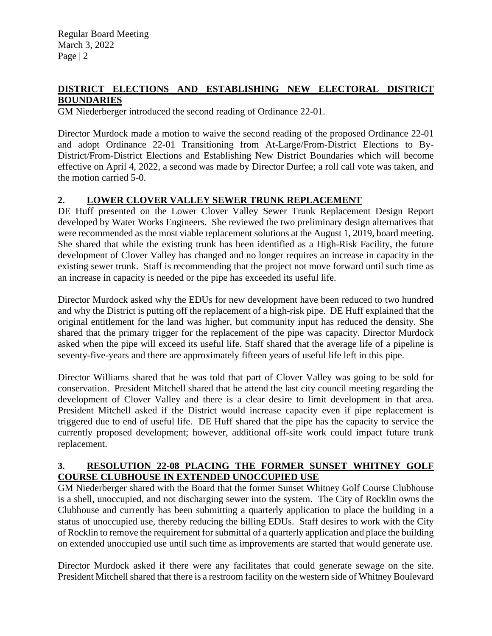Regular Board Meeting March 3, 2022 Page | 2

### **DISTRICT ELECTIONS AND ESTABLISHING NEW ELECTORAL DISTRICT BOUNDARIES**

GM Niederberger introduced the second reading of Ordinance 22-01.

Director Murdock made a motion to waive the second reading of the proposed Ordinance 22-01 and adopt Ordinance 22-01 Transitioning from At-Large/From-District Elections to By-District/From-District Elections and Establishing New District Boundaries which will become effective on April 4, 2022, a second was made by Director Durfee; a roll call vote was taken, and the motion carried 5-0.

### **2. LOWER CLOVER VALLEY SEWER TRUNK REPLACEMENT**

DE Huff presented on the Lower Clover Valley Sewer Trunk Replacement Design Report developed by Water Works Engineers. She reviewed the two preliminary design alternatives that were recommended as the most viable replacement solutions at the August 1, 2019, board meeting. She shared that while the existing trunk has been identified as a High-Risk Facility, the future development of Clover Valley has changed and no longer requires an increase in capacity in the existing sewer trunk. Staff is recommending that the project not move forward until such time as an increase in capacity is needed or the pipe has exceeded its useful life.

Director Murdock asked why the EDUs for new development have been reduced to two hundred and why the District is putting off the replacement of a high-risk pipe. DE Huff explained that the original entitlement for the land was higher, but community input has reduced the density. She shared that the primary trigger for the replacement of the pipe was capacity. Director Murdock asked when the pipe will exceed its useful life. Staff shared that the average life of a pipeline is seventy-five-years and there are approximately fifteen years of useful life left in this pipe.

Director Williams shared that he was told that part of Clover Valley was going to be sold for conservation. President Mitchell shared that he attend the last city council meeting regarding the development of Clover Valley and there is a clear desire to limit development in that area. President Mitchell asked if the District would increase capacity even if pipe replacement is triggered due to end of useful life. DE Huff shared that the pipe has the capacity to service the currently proposed development; however, additional off-site work could impact future trunk replacement.

### **3. RESOLUTION 22-08 PLACING THE FORMER SUNSET WHITNEY GOLF COURSE CLUBHOUSE IN EXTENDED UNOCCUPIED USE**

GM Niederberger shared with the Board that the former Sunset Whitney Golf Course Clubhouse is a shell, unoccupied, and not discharging sewer into the system. The City of Rocklin owns the Clubhouse and currently has been submitting a quarterly application to place the building in a status of unoccupied use, thereby reducing the billing EDUs. Staff desires to work with the City of Rocklin to remove the requirement for submittal of a quarterly application and place the building on extended unoccupied use until such time as improvements are started that would generate use.

Director Murdock asked if there were any facilitates that could generate sewage on the site. President Mitchell shared that there is a restroom facility on the western side of Whitney Boulevard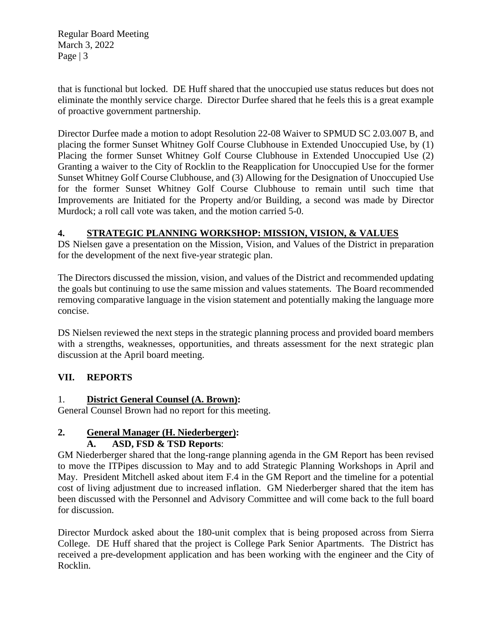Regular Board Meeting March 3, 2022 Page  $|3$ 

that is functional but locked. DE Huff shared that the unoccupied use status reduces but does not eliminate the monthly service charge. Director Durfee shared that he feels this is a great example of proactive government partnership.

Director Durfee made a motion to adopt Resolution 22-08 Waiver to SPMUD SC 2.03.007 B, and placing the former Sunset Whitney Golf Course Clubhouse in Extended Unoccupied Use, by (1) Placing the former Sunset Whitney Golf Course Clubhouse in Extended Unoccupied Use (2) Granting a waiver to the City of Rocklin to the Reapplication for Unoccupied Use for the former Sunset Whitney Golf Course Clubhouse, and (3) Allowing for the Designation of Unoccupied Use for the former Sunset Whitney Golf Course Clubhouse to remain until such time that Improvements are Initiated for the Property and/or Building, a second was made by Director Murdock; a roll call vote was taken, and the motion carried 5-0.

# **4. STRATEGIC PLANNING WORKSHOP: MISSION, VISION, & VALUES**

DS Nielsen gave a presentation on the Mission, Vision, and Values of the District in preparation for the development of the next five-year strategic plan.

The Directors discussed the mission, vision, and values of the District and recommended updating the goals but continuing to use the same mission and values statements. The Board recommended removing comparative language in the vision statement and potentially making the language more concise.

DS Nielsen reviewed the next steps in the strategic planning process and provided board members with a strengths, weaknesses, opportunities, and threats assessment for the next strategic plan discussion at the April board meeting.

# **VII. REPORTS**

### 1. **District General Counsel (A. Brown):**

General Counsel Brown had no report for this meeting.

# **2. General Manager (H. Niederberger):**

### **A. ASD, FSD & TSD Reports**:

GM Niederberger shared that the long-range planning agenda in the GM Report has been revised to move the ITPipes discussion to May and to add Strategic Planning Workshops in April and May. President Mitchell asked about item F.4 in the GM Report and the timeline for a potential cost of living adjustment due to increased inflation. GM Niederberger shared that the item has been discussed with the Personnel and Advisory Committee and will come back to the full board for discussion.

Director Murdock asked about the 180-unit complex that is being proposed across from Sierra College. DE Huff shared that the project is College Park Senior Apartments. The District has received a pre-development application and has been working with the engineer and the City of Rocklin.